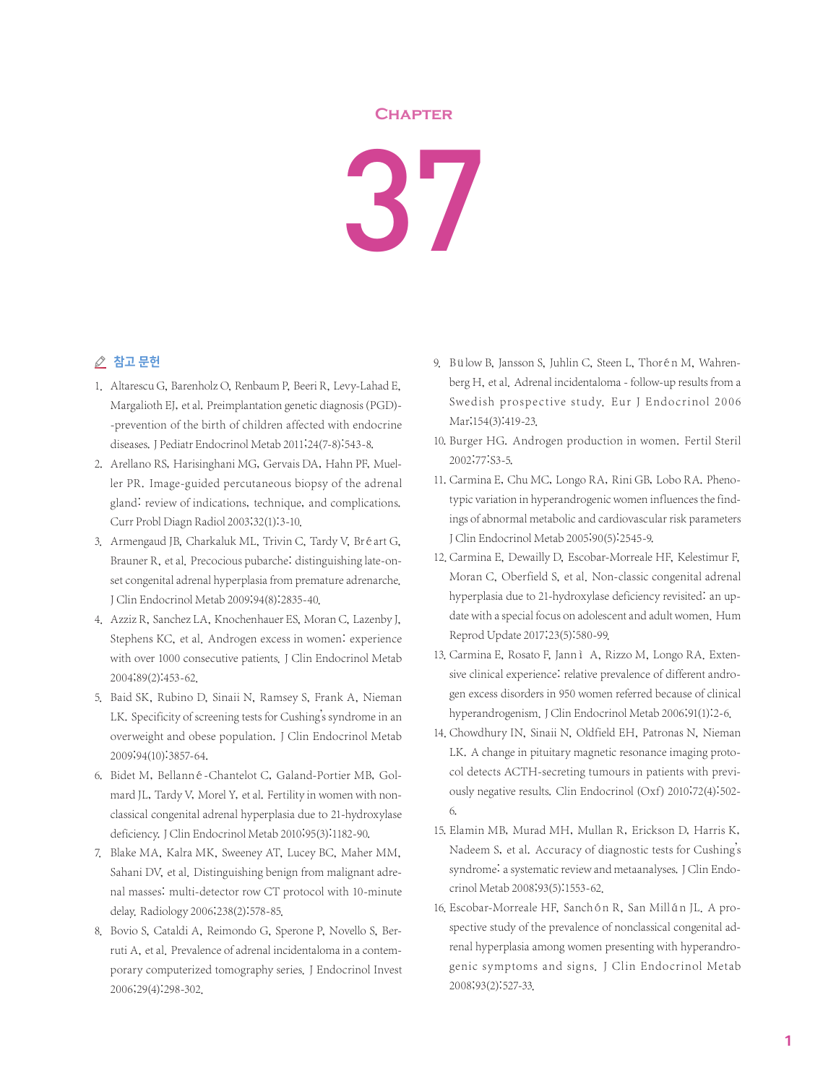## **Chapter**



## ○ 참고 문헌

- 1. Altarescu G, Barenholz O, Renbaum P, Beeri R, Levy-Lahad E, Margalioth EJ, et al. Preimplantation genetic diagnosis(PGD)- -prevention of the birth of children affected with endocrine diseases.J Pediatr Endocrinol Metab 2011;24(7-8):543-8.
- 2. Arellano RS, Harisinghani MG, Gervais DA, Hahn PF, Mueller PR. Image-guided percutaneous biopsy of the adrenal gland: review of indications, technique, and complications. Curr Probl Diagn Radiol 2003;32(1):3-10.
- 3. Armengaud JB, Charkaluk ML, Trivin C, Tardy V, Bréart G, Brauner R, et al. Precocious pubarche: distinguishing late-onset congenital adrenal hyperplasia from premature adrenarche. J Clin Endocrinol Metab 2009;94(8):2835-40.
- 4. Azziz R, Sanchez LA, Knochenhauer ES, Moran C, Lazenby J, Stephens KC, et al. Androgen excess in women: experience with over 1000 consecutive patients. J Clin Endocrinol Metab 2004;89(2):453-62.
- 5. Baid SK, Rubino D, Sinaii N, Ramsey S, Frank A, Nieman LK. Specificity of screening tests for Cushing's syndrome in an overweight and obese population. J Clin Endocrinol Metab 2009;94(10):3857-64.
- 6. Bidet M, Bellanné-Chantelot C, Galand-Portier MB, Golmard JL, Tardy V, Morel Y, et al. Fertility in women with nonclassical congenital adrenal hyperplasia due to 21-hydroxylase deficiency.J Clin Endocrinol Metab 2010;95(3):1182-90.
- 7. Blake MA, Kalra MK, Sweeney AT, Lucey BC, Maher MM, Sahani DV, et al. Distinguishing benign from malignant adrenal masses: multi-detector row CT protocol with 10-minute delay. Radiology 2006;238(2):578-85.
- 8. Bovio S, Cataldi A, Reimondo G, Sperone P, Novello S, Berruti A, et al. Prevalence of adrenal incidentaloma in a contemporary computerized tomography series. J Endocrinol Invest 2006;29(4):298-302.
- 9. Bülow B, Jansson S, Juhlin C, Steen L, Thorén M, Wahrenberg H, et al. Adrenal incidentaloma - follow-up results from a Swedish prospective study. Eur J Endocrinol 2006 Mar;154(3):419-23.
- 10. Burger HG. Androgen production in women. Fertil Steril 2002;77:S3-5.
- 11. Carmina E, Chu MC, Longo RA, Rini GB, Lobo RA. Phenotypic variation in hyperandrogenic women influences the findings of abnormal metabolic and cardiovascular risk parameters J Clin Endocrinol Metab 2005;90(5):2545-9.
- 12. Carmina E, Dewailly D, Escobar-Morreale HF, Kelestimur F, Moran C, Oberfield S, et al. Non-classic congenital adrenal hyperplasia due to 21-hydroxylase deficiency revisited: an update with a special focus on adolescent and adult women. Hum Reprod Update 2017;23(5):580-99.
- 13. Carmina E, Rosato F, Jann ì A, Rizzo M, Longo RA. Extensive clinical experience: relative prevalence of different androgen excess disorders in 950 women referred because of clinical hyperandrogenism.J Clin Endocrinol Metab 2006;91(1):2-6.
- 14. Chowdhury IN, Sinaii N, Oldfield EH, Patronas N, Nieman LK. A change in pituitary magnetic resonance imaging protocol detects ACTH-secreting tumours in patients with previously negative results. Clin Endocrinol (Oxf) 2010;72(4):502- 6.
- 15. Elamin MB, Murad MH, Mullan R, Erickson D, Harris K, Nadeem S, et al. Accuracy of diagnostic tests for Cushing's syndrome: a systematic review and metaanalyses. J Clin Endocrinol Metab 2008;93(5):1553-62.
- 16. Escobar-Morreale HF, Sanchón R, San Millán JL. A prospective study of the prevalence of nonclassical congenital adrenal hyperplasia among women presenting with hyperandrogenic symptoms and signs. J Clin Endocrinol Metab 2008;93(2):527-33.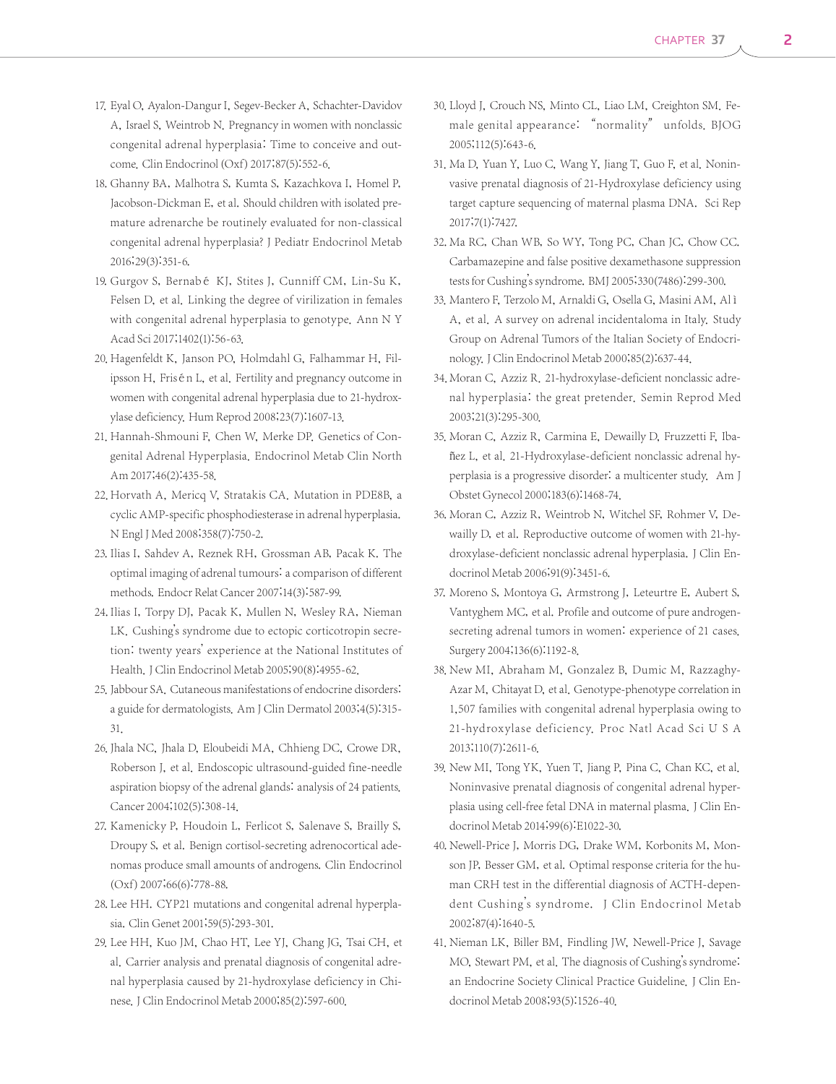- 17. Eyal O, Ayalon-Dangur I, Segev-Becker A, Schachter-Davidov A, Israel S, Weintrob N. Pregnancy in women with nonclassic congenital adrenal hyperplasia: Time to conceive and outcome. Clin Endocrinol(Oxf) 2017;87(5):552-6.
- 18. Ghanny BA, Malhotra S, Kumta S, Kazachkova I, Homel P, Jacobson-Dickman E, et al. Should children with isolated premature adrenarche be routinely evaluated for non-classical congenital adrenal hyperplasia? J Pediatr Endocrinol Metab 2016;29(3):351-6.
- 19. Gurgov S, Bernabé KJ, Stites J, Cunniff CM, Lin-Su K, Felsen D, et al. Linking the degree of virilization in females with congenital adrenal hyperplasia to genotype. Ann N Y Acad Sci 2017;1402(1):56-63.
- 20. Hagenfeldt K, Janson PO, Holmdahl G, Falhammar H, Filipsson H, Frisén L, et al. Fertility and pregnancy outcome in women with congenital adrenal hyperplasia due to 21-hydroxylase deficiency. Hum Reprod 2008;23(7):1607-13.
- 21. Hannah-Shmouni F, Chen W, Merke DP. Genetics of Congenital Adrenal Hyperplasia. Endocrinol Metab Clin North Am 2017;46(2):435-58.
- 22. Horvath A, Mericq V, Stratakis CA. Mutation in PDE8B, a cyclic AMP-specific phosphodiesterase in adrenal hyperplasia. N Engl J Med 2008;358(7):750-2.
- 23. Ilias I, Sahdev A, Reznek RH, Grossman AB, Pacak K. The optimal imaging of adrenal tumours: a comparison of different methods. Endocr Relat Cancer 2007;14(3):587-99.
- 24. Ilias I, Torpy DJ, Pacak K, Mullen N, Wesley RA, Nieman LK. Cushing's syndrome due to ectopic corticotropin secretion: twenty years' experience at the National Institutes of Health. J Clin Endocrinol Metab 2005;90(8):4955-62.
- 25. Jabbour SA. Cutaneous manifestations of endocrine disorders: a guide for dermatologists. Am J Clin Dermatol 2003;4(5):315- 31.
- 26. Jhala NC, Jhala D, Eloubeidi MA, Chhieng DC, Crowe DR, Roberson J, et al. Endoscopic ultrasound-guided fine-needle aspiration biopsy of the adrenal glands: analysis of 24 patients. Cancer 2004;102(5):308-14.
- 27. Kamenicky P, Houdoin L, Ferlicot S, Salenave S, Brailly S, Droupy S, et al. Benign cortisol-secreting adrenocortical adenomas produce small amounts of androgens. Clin Endocrinol (Oxf) 2007;66(6):778-88.
- 28. Lee HH. CYP21 mutations and congenital adrenal hyperplasia. Clin Genet 2001;59(5):293-301.
- 29. Lee HH, Kuo JM, Chao HT, Lee YJ, Chang JG, Tsai CH, et al. Carrier analysis and prenatal diagnosis of congenital adrenal hyperplasia caused by 21-hydroxylase deficiency in Chinese.J Clin Endocrinol Metab 2000;85(2):597-600.
- 30. Lloyd J, Crouch NS, Minto CL, Liao LM, Creighton SM. Female genital appearance: "normality" unfolds. BJOG 2005;112(5):643-6.
- 31. Ma D, Yuan Y, Luo C, Wang Y, Jiang T, Guo F, et al. Noninvasive prenatal diagnosis of 21-Hydroxylase deficiency using target capture sequencing of maternal plasma DNA. Sci Rep 2017;7(1):7427.
- 32. Ma RC, Chan WB, So WY, Tong PC, Chan JC, Chow CC. Carbamazepine and false positive dexamethasone suppression tests for Cushing's syndrome. BMJ 2005;330(7486):299-300.
- 33. Mantero F, Terzolo M, Arnaldi G, Osella G, Masini AM, Al ì A, et al. A survey on adrenal incidentaloma in Italy. Study Group on Adrenal Tumors of the Italian Society of Endocrinology.J Clin Endocrinol Metab 2000;85(2):637-44.
- 34. Moran C, Azziz R. 21-hydroxylase-deficient nonclassic adrenal hyperplasia: the great pretender. Semin Reprod Med 2003;21(3):295-300.
- 35. Moran C, Azziz R, Carmina E, Dewailly D, Fruzzetti F, Ibañez L, et al. 21-Hydroxylase-deficient nonclassic adrenal hyperplasia is a progressive disorder: a multicenter study. Am J Obstet Gynecol 2000;183(6):1468-74.
- 36. Moran C, Azziz R, Weintrob N, Witchel SF, Rohmer V, Dewailly D, et al. Reproductive outcome of women with 21-hydroxylase-deficient nonclassic adrenal hyperplasia. J Clin Endocrinol Metab 2006;91(9):3451-6.
- 37. Moreno S, Montoya G, Armstrong J, Leteurtre E, Aubert S, Vantyghem MC, et al. Profile and outcome of pure androgensecreting adrenal tumors in women: experience of 21 cases. Surgery 2004;136(6):1192-8.
- 38. New MI, Abraham M, Gonzalez B, Dumic M, Razzaghy-Azar M, Chitayat D, et al. Genotype-phenotype correlation in 1,507 families with congenital adrenal hyperplasia owing to 21-hydroxylase deficiency. Proc Natl Acad Sci U S A 2013;110(7):2611-6.
- 39. New MI, Tong YK, Yuen T, Jiang P, Pina C, Chan KC, et al. Noninvasive prenatal diagnosis of congenital adrenal hyperplasia using cell-free fetal DNA in maternal plasma. J Clin Endocrinol Metab 2014;99(6):E1022-30.
- 40. Newell-Price J, Morris DG, Drake WM, Korbonits M, Monson JP, Besser GM, et al. Optimal response criteria for the human CRH test in the differential diagnosis of ACTH-dependent Cushing's syndrome. J Clin Endocrinol Metab 2002;87(4):1640-5.
- 41. Nieman LK, Biller BM, Findling JW, Newell-Price J, Savage MO, Stewart PM, et al. The diagnosis of Cushing's syndrome: an Endocrine Society Clinical Practice Guideline. J Clin Endocrinol Metab 2008;93(5):1526-40.